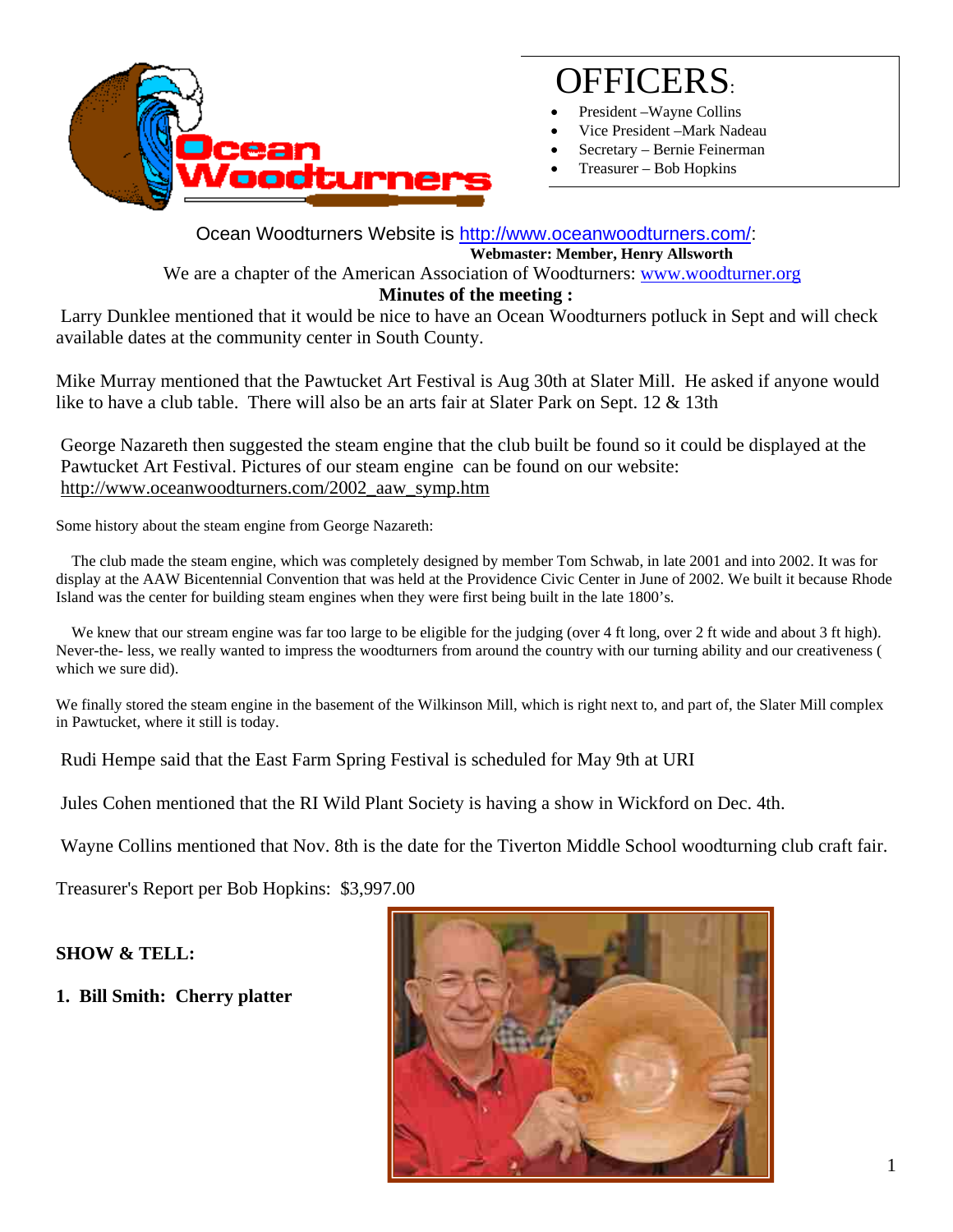

# OFFICERS:

- President Wayne Collins
- Vice President –Mark Nadeau
- Secretary Bernie Feinerman
- Treasurer Bob Hopkins

Ocean Woodturners Website is http://www.oceanwoodturners.com/: **Webmaster: Member, Henry Allsworth**  We are a chapter of the American Association of Woodturners: www.woodturner.org

## **Minutes of the meeting :**

 Larry Dunklee mentioned that it would be nice to have an Ocean Woodturners potluck in Sept and will check available dates at the community center in South County.

Mike Murray mentioned that the Pawtucket Art Festival is Aug 30th at Slater Mill. He asked if anyone would like to have a club table. There will also be an arts fair at Slater Park on Sept. 12 & 13th

George Nazareth then suggested the steam engine that the club built be found so it could be displayed at the Pawtucket Art Festival. Pictures of our steam engine can be found on our website: http://www.oceanwoodturners.com/2002\_aaw\_symp.htm

Some history about the steam engine from George Nazareth:

 The club made the steam engine, which was completely designed by member Tom Schwab, in late 2001 and into 2002. It was for display at the AAW Bicentennial Convention that was held at the Providence Civic Center in June of 2002. We built it because Rhode Island was the center for building steam engines when they were first being built in the late 1800's.

We knew that our stream engine was far too large to be eligible for the judging (over 4 ft long, over 2 ft wide and about 3 ft high). Never-the- less, we really wanted to impress the woodturners from around the country with our turning ability and our creativeness ( which we sure did).

We finally stored the steam engine in the basement of the Wilkinson Mill, which is right next to, and part of, the Slater Mill complex in Pawtucket, where it still is today.

Rudi Hempe said that the East Farm Spring Festival is scheduled for May 9th at URI

Jules Cohen mentioned that the RI Wild Plant Society is having a show in Wickford on Dec. 4th.

Wayne Collins mentioned that Nov. 8th is the date for the Tiverton Middle School woodturning club craft fair.

Treasurer's Report per Bob Hopkins: \$3,997.00

#### **SHOW & TELL:**

**1. Bill Smith: Cherry platter** 

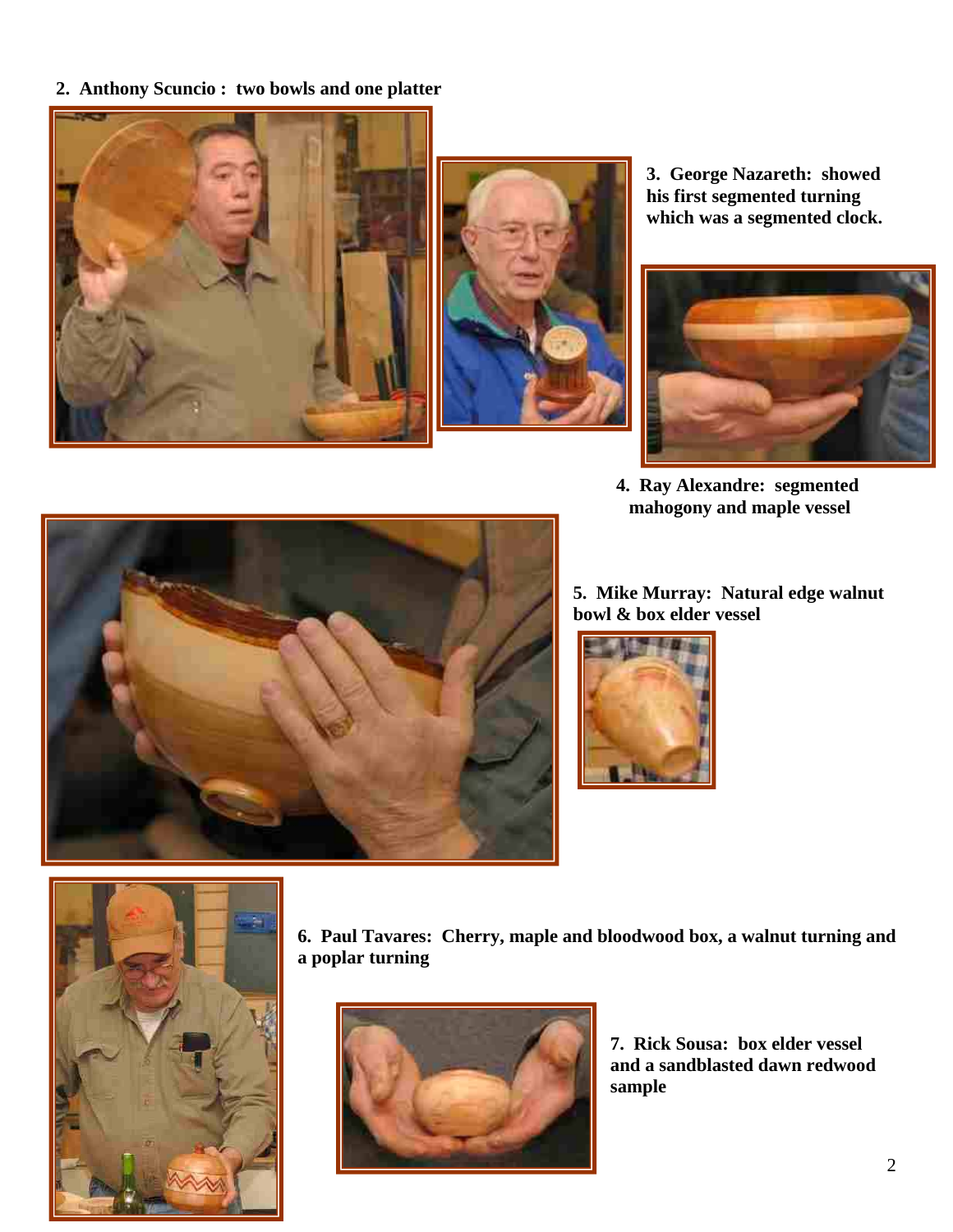**2. Anthony Scuncio : two bowls and one platter** 





**3. George Nazareth: showed his first segmented turning which was a segmented clock.** 



**4. Ray Alexandre: segmented mahogony and maple vessel** 



**5. Mike Murray: Natural edge walnut bowl & box elder vessel** 





**6. Paul Tavares: Cherry, maple and bloodwood box, a walnut turning and a poplar turning** 



**7. Rick Sousa: box elder vessel and a sandblasted dawn redwood sample**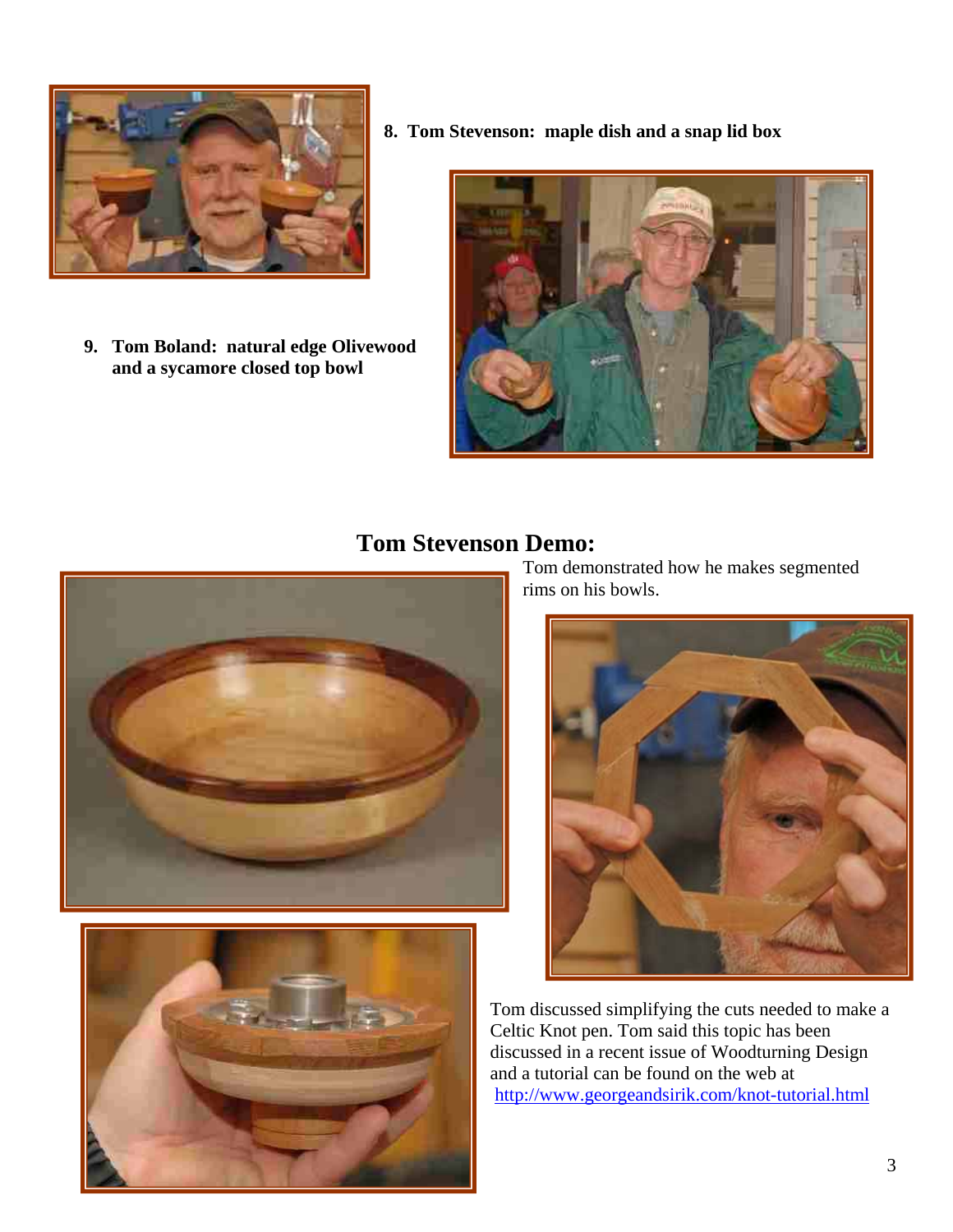

**9. Tom Boland: natural edge Olivewood and a sycamore closed top bowl** 

**8. Tom Stevenson: maple dish and a snap lid box** 



# **Tom Stevenson Demo:**





Tom demonstrated how he makes segmented rims on his bowls.



Tom discussed simplifying the cuts needed to make a Celtic Knot pen. Tom said this topic has been discussed in a recent issue of Woodturning Design and a tutorial can be found on the web at http://www.georgeandsirik.com/knot-tutorial.html